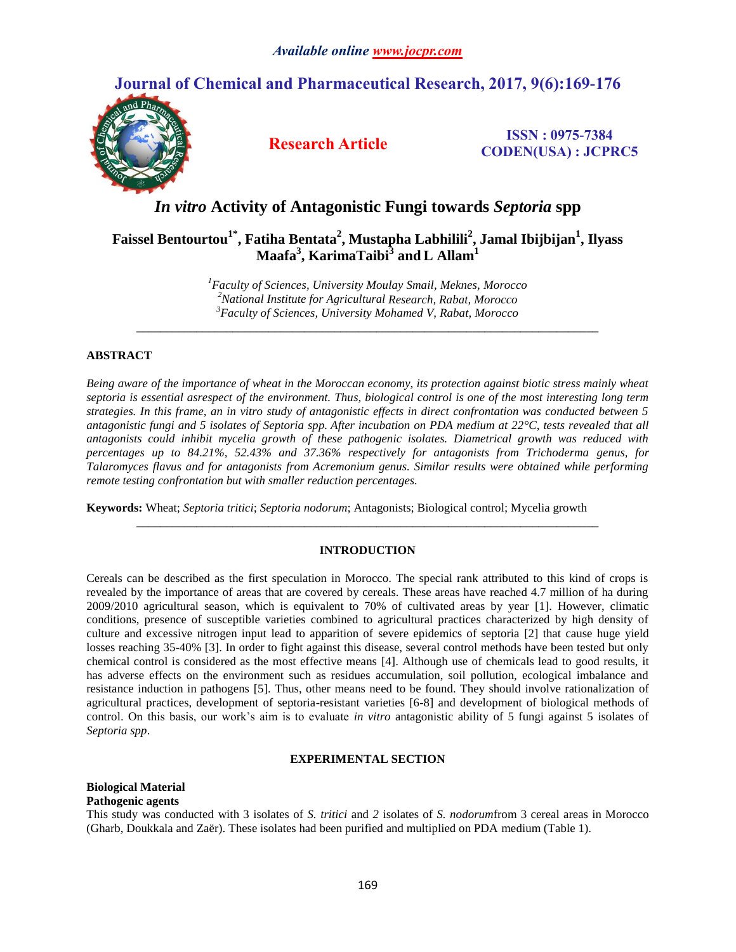## **Journal of Chemical and Pharmaceutical Research, 2017, 9(6):169-176**



**Research Article ISSN : 0975-7384 CODEN(USA) : JCPRC5**

# *In vitro* **Activity of Antagonistic Fungi towards** *Septoria* **spp**

## **Faissel Bentourtou1\* , Fatiha Bentata<sup>2</sup> , Mustapha Labhilili<sup>2</sup> , Jamal Ibijbijan<sup>1</sup> , Ilyass Maafa<sup>3</sup> , KarimaTaibi 3 and L Allam<sup>1</sup>**

*<sup>1</sup>Faculty of Sciences, University Moulay Smail, Meknes, Morocco <sup>2</sup>National Institute for Agricultural Research, Rabat, Morocco <sup>3</sup>Faculty of Sciences, University Mohamed V, Rabat, Morocco*

*\_\_\_\_\_\_\_\_\_\_\_\_\_\_\_\_\_\_\_\_\_\_\_\_\_\_\_\_\_\_\_\_\_\_\_\_\_\_\_\_\_\_\_\_\_\_\_\_\_\_\_\_\_\_\_\_\_\_\_\_\_\_\_\_\_\_\_\_\_\_\_\_\_\_\_\_\_*

## **ABSTRACT**

*Being aware of the importance of wheat in the Moroccan economy, its protection against biotic stress mainly wheat septoria is essential asrespect of the environment. Thus, biological control is one of the most interesting long term strategies. In this frame, an in vitro study of antagonistic effects in direct confrontation was conducted between 5 antagonistic fungi and 5 isolates of Septoria spp. After incubation on PDA medium at 22°C, tests revealed that all antagonists could inhibit mycelia growth of these pathogenic isolates. Diametrical growth was reduced with percentages up to 84.21%, 52.43% and 37.36% respectively for antagonists from Trichoderma genus, for Talaromyces flavus and for antagonists from Acremonium genus. Similar results were obtained while performing remote testing confrontation but with smaller reduction percentages.* 

**Keywords:** Wheat; *Septoria tritici*; *Septoria nodorum*; Antagonists; Biological control; Mycelia growth

## **INTRODUCTION**

*\_\_\_\_\_\_\_\_\_\_\_\_\_\_\_\_\_\_\_\_\_\_\_\_\_\_\_\_\_\_\_\_\_\_\_\_\_\_\_\_\_\_\_\_\_\_\_\_\_\_\_\_\_\_\_\_\_\_\_\_\_\_\_\_\_\_\_\_\_\_\_\_\_\_\_\_\_*

Cereals can be described as the first speculation in Morocco. The special rank attributed to this kind of crops is revealed by the importance of areas that are covered by cereals. These areas have reached 4.7 million of ha during 2009/2010 agricultural season, which is equivalent to 70% of cultivated areas by year [1]. However, climatic conditions, presence of susceptible varieties combined to agricultural practices characterized by high density of culture and excessive nitrogen input lead to apparition of severe epidemics of septoria [2] that cause huge yield losses reaching 35-40% [3]. In order to fight against this disease, several control methods have been tested but only chemical control is considered as the most effective means [4]. Although use of chemicals lead to good results, it has adverse effects on the environment such as residues accumulation, soil pollution, ecological imbalance and resistance induction in pathogens [5]. Thus, other means need to be found. They should involve rationalization of agricultural practices, development of septoria-resistant varieties [6-8] and development of biological methods of control. On this basis, our work's aim is to evaluate *in vitro* antagonistic ability of 5 fungi against 5 isolates of *Septoria spp*.

#### **EXPERIMENTAL SECTION**

## **Biological Material Pathogenic agents**

This study was conducted with 3 isolates of *S. tritici* and *2* isolates of *S. nodorum*from 3 cereal areas in Morocco (Gharb, Doukkala and Zaër). These isolates had been purified and multiplied on PDA medium (Table 1).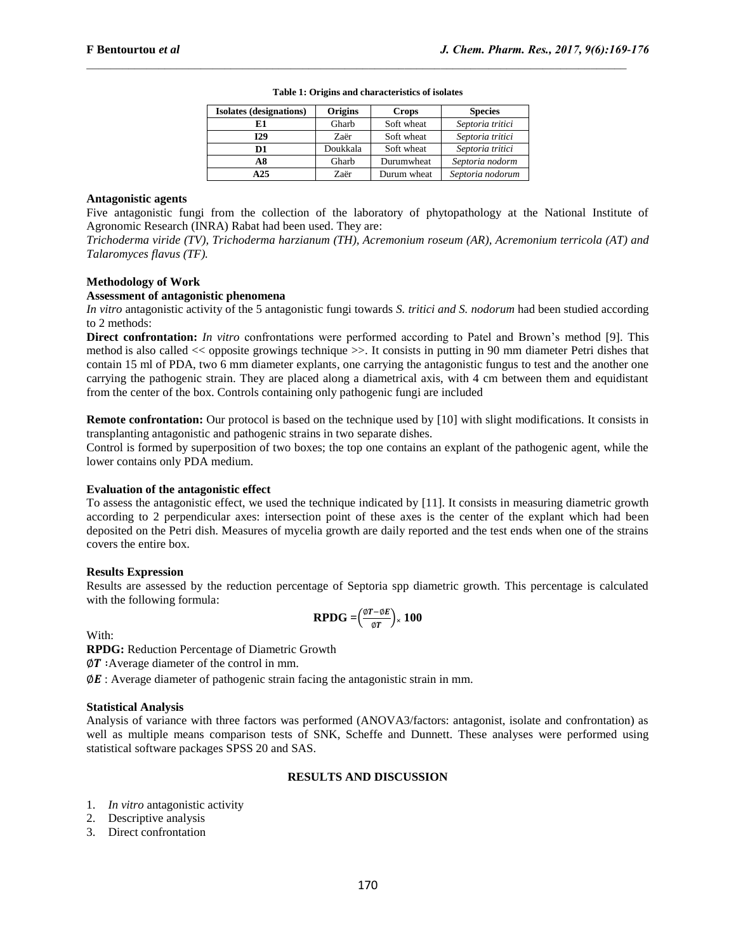| <b>Isolates</b> (designations) | <b>Origins</b> | <b>Crops</b> | <b>Species</b>   |
|--------------------------------|----------------|--------------|------------------|
| E1                             | Gharb          | Soft wheat   | Septoria tritici |
| 129                            | Zaër           | Soft wheat   | Septoria tritici |
| D1                             | Doukkala       | Soft wheat   | Septoria tritici |
| A8                             | Gharb          | Durumwheat   | Septoria nodorm  |
| A25                            | Zaër           | Durum wheat  | Septoria nodorum |

**Table 1: Origins and characteristics of isolates**

#### **Antagonistic agents**

Five antagonistic fungi from the collection of the laboratory of phytopathology at the National Institute of Agronomic Research (INRA) Rabat had been used. They are:

*Trichoderma viride (TV), Trichoderma harzianum (TH), Acremonium roseum (AR), Acremonium terricola (AT) and Talaromyces flavus (TF).*

## **Methodology of Work**

## **Assessment of antagonistic phenomena**

*In vitro* antagonistic activity of the 5 antagonistic fungi towards *S. tritici and S. nodorum* had been studied according to 2 methods:

**Direct confrontation:** *In vitro* confrontations were performed according to Patel and Brown's method [9]. This method is also called << opposite growings technique >>. It consists in putting in 90 mm diameter Petri dishes that contain 15 ml of PDA, two 6 mm diameter explants, one carrying the antagonistic fungus to test and the another one carrying the pathogenic strain. They are placed along a diametrical axis, with 4 cm between them and equidistant from the center of the box. Controls containing only pathogenic fungi are included

**Remote confrontation:** Our protocol is based on the technique used by [10] with slight modifications. It consists in transplanting antagonistic and pathogenic strains in two separate dishes.

Control is formed by superposition of two boxes; the top one contains an explant of the pathogenic agent, while the lower contains only PDA medium.

#### **Evaluation of the antagonistic effect**

To assess the antagonistic effect, we used the technique indicated by [11]. It consists in measuring diametric growth according to 2 perpendicular axes: intersection point of these axes is the center of the explant which had been deposited on the Petri dish. Measures of mycelia growth are daily reported and the test ends when one of the strains covers the entire box.

#### **Results Expression**

Results are assessed by the reduction percentage of Septoria spp diametric growth. This percentage is calculated with the following formula:

$$
\text{RPDG} = \left(\frac{\phi T - \phi E}{\phi T}\right) \times 100
$$

With:

**RPDG:** Reduction Percentage of Diametric Growth

 $\varphi T$ : Average diameter of the control in mm.

 $\emptyset$ E : Average diameter of pathogenic strain facing the antagonistic strain in mm.

#### **Statistical Analysis**

Analysis of variance with three factors was performed (ANOVA3/factors: antagonist, isolate and confrontation) as well as multiple means comparison tests of SNK, Scheffe and Dunnett. These analyses were performed using statistical software packages SPSS 20 and SAS.

#### **RESULTS AND DISCUSSION**

- 1. *In vitro* antagonistic activity
- 2. Descriptive analysis
- 3. Direct confrontation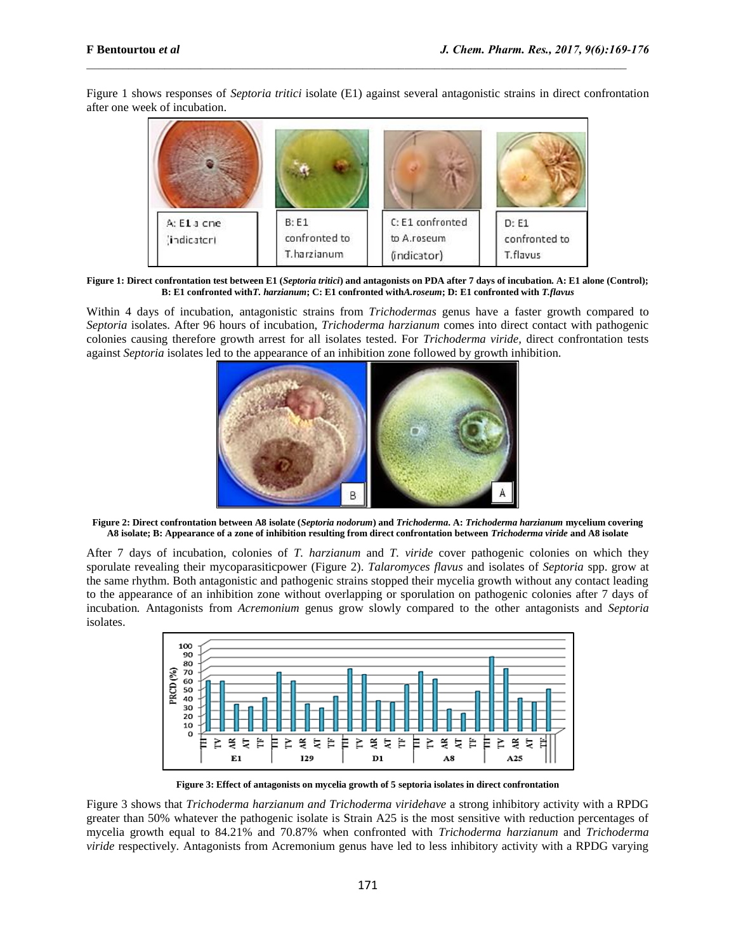Figure 1 shows responses of *Septoria tritici* isolate (E1) against several antagonistic strains in direct confrontation after one week of incubation.



**Figure 1: Direct confrontation test between E1 (***Septoria tritici***) and antagonists on PDA after 7 days of incubation. A: E1 alone (Control); B: E1 confronted with***T. harzianum***; C: E1 confronted with***A.roseum***; D: E1 confronted with** *T.flavus*

Within 4 days of incubation, antagonistic strains from *Trichodermas* genus have a faster growth compared to *Septoria* isolates. After 96 hours of incubation, *Trichoderma harzianum* comes into direct contact with pathogenic colonies causing therefore growth arrest for all isolates tested. For *Trichoderma viride,* direct confrontation tests against *Septoria* isolates led to the appearance of an inhibition zone followed by growth inhibition.



**Figure 2: Direct confrontation between A8 isolate (***Septoria nodorum***) and** *Trichoderma***. A:** *Trichoderma harzianum* **mycelium covering A8 isolate; B: Appearance of a zone of inhibition resulting from direct confrontation between** *Trichoderma viride* **and A8 isolate**

After 7 days of incubation, colonies of *T. harzianum* and *T. viride* cover pathogenic colonies on which they sporulate revealing their mycoparasiticpower (Figure 2). *Talaromyces flavus* and isolates of *Septoria* spp. grow at the same rhythm. Both antagonistic and pathogenic strains stopped their mycelia growth without any contact leading to the appearance of an inhibition zone without overlapping or sporulation on pathogenic colonies after 7 days of incubation*.* Antagonists from *Acremonium* genus grow slowly compared to the other antagonists and *Septoria*  isolates.



**Figure 3: Effect of antagonists on mycelia growth of 5 septoria isolates in direct confrontation**

Figure 3 shows that *Trichoderma harzianum and Trichoderma viridehave* a strong inhibitory activity with a RPDG greater than 50% whatever the pathogenic isolate is Strain A25 is the most sensitive with reduction percentages of mycelia growth equal to 84.21% and 70.87% when confronted with *Trichoderma harzianum* and *Trichoderma viride* respectively. Antagonists from Acremonium genus have led to less inhibitory activity with a RPDG varying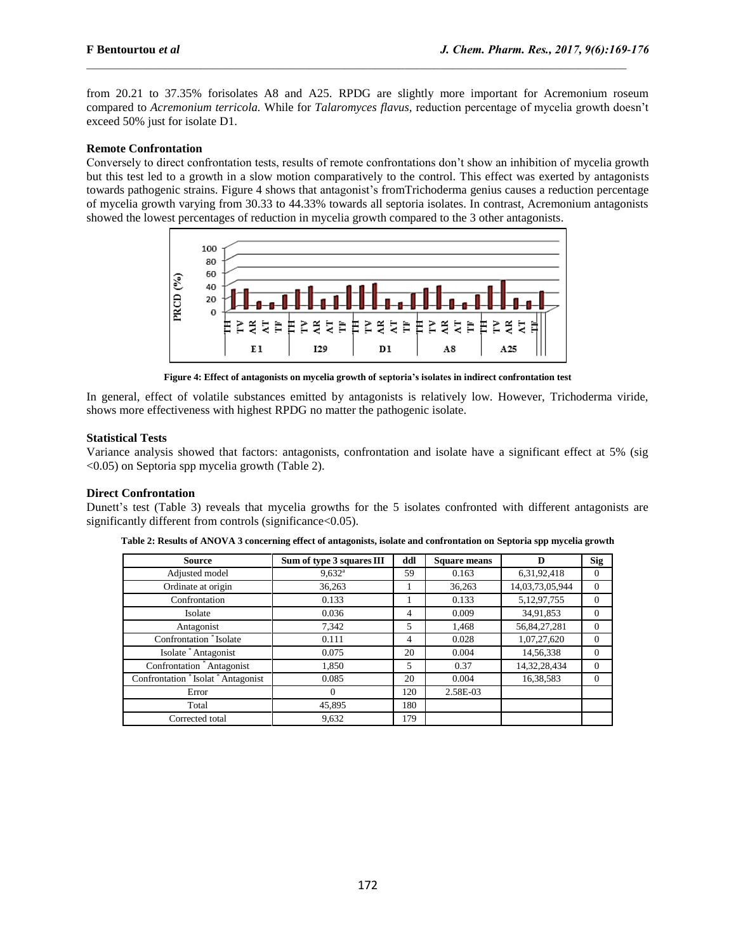from 20.21 to 37.35% forisolates A8 and A25. RPDG are slightly more important for Acremonium roseum compared to *Acremonium terricola.* While for *Talaromyces flavus,* reduction percentage of mycelia growth doesn't exceed 50% just for isolate D1.

## **Remote Confrontation**

Conversely to direct confrontation tests, results of remote confrontations don't show an inhibition of mycelia growth but this test led to a growth in a slow motion comparatively to the control. This effect was exerted by antagonists towards pathogenic strains. Figure 4 shows that antagonist's fromTrichoderma genius causes a reduction percentage of mycelia growth varying from 30.33 to 44.33% towards all septoria isolates. In contrast, Acremonium antagonists showed the lowest percentages of reduction in mycelia growth compared to the 3 other antagonists*.*



**Figure 4: Effect of antagonists on mycelia growth of septoria's isolates in indirect confrontation test**

In general, effect of volatile substances emitted by antagonists is relatively low. However, Trichoderma viride, shows more effectiveness with highest RPDG no matter the pathogenic isolate.

## **Statistical Tests**

Variance analysis showed that factors: antagonists, confrontation and isolate have a significant effect at 5% (sig <0.05) on Septoria spp mycelia growth (Table 2).

## **Direct Confrontation**

Dunett's test (Table 3) reveals that mycelia growths for the 5 isolates confronted with different antagonists are significantly different from controls (significance  $< 0.05$ ).

| <b>Source</b>                     | Sum of type 3 squares III | ddl | <b>Square means</b> | D               | <b>Sig</b> |
|-----------------------------------|---------------------------|-----|---------------------|-----------------|------------|
| Adjusted model                    | $9,632^{\rm a}$           | 59  | 0.163               | 6,31,92,418     | 0          |
| Ordinate at origin                | 36,263                    |     | 36,263              | 14,03,73,05,944 | $\Omega$   |
| Confrontation                     | 0.133                     |     | 0.133               | 5,12,97,755     | $\Omega$   |
| Isolate                           | 0.036                     | 4   | 0.009               | 34,91,853       | $\Omega$   |
| Antagonist                        | 7,342                     | 5   | 1,468               | 56, 84, 27, 281 | 0          |
| Confrontation * Isolate           | 0.111                     | 4   | 0.028               | 1,07,27,620     | 0          |
| Isolate * Antagonist              | 0.075                     | 20  | 0.004               | 14,56,338       | 0          |
| Confrontation *Antagonist         | 1,850                     | 5   | 0.37                | 14,32,28,434    | 0          |
| Confrontation *Isolat *Antagonist | 0.085                     | 20  | 0.004               | 16,38,583       | 0          |
| Error                             | $\Omega$                  | 120 | 2.58E-03            |                 |            |
| Total                             | 45,895                    | 180 |                     |                 |            |
| Corrected total                   | 9.632                     | 179 |                     |                 |            |

**Table 2: Results of ANOVA 3 concerning effect of antagonists, isolate and confrontation on Septoria spp mycelia growth**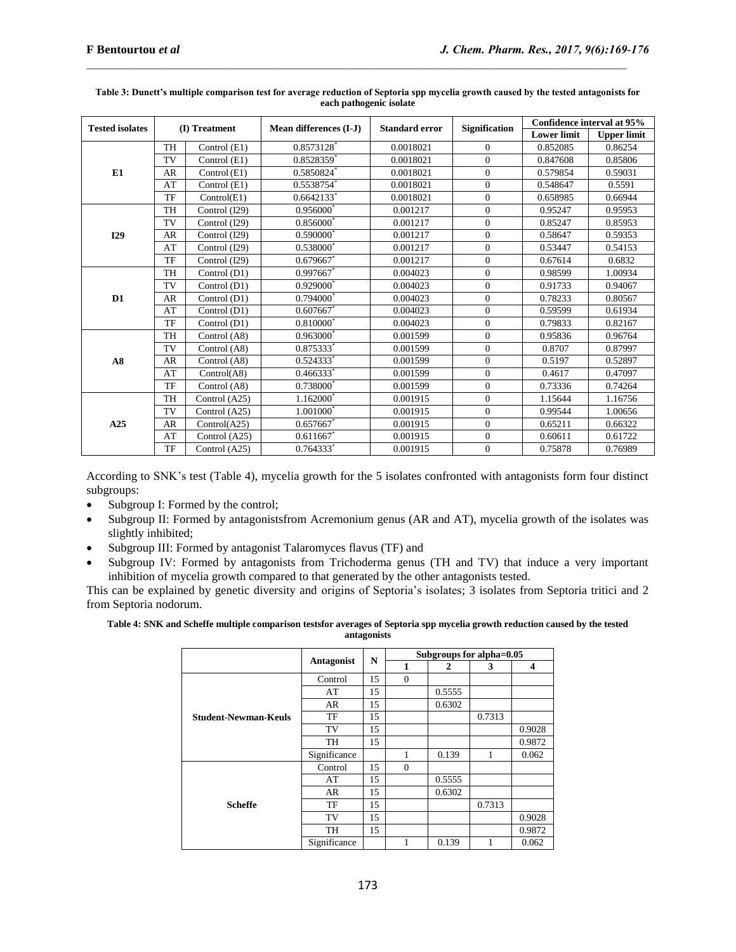| <b>Tested isolates</b> | (I) Treatment |               | Mean differences (I-J) | <b>Standard error</b> | <b>Signification</b> | Confidence interval at 95% |                    |  |
|------------------------|---------------|---------------|------------------------|-----------------------|----------------------|----------------------------|--------------------|--|
|                        |               |               |                        |                       |                      | <b>Lower limit</b>         | <b>Upper limit</b> |  |
|                        | <b>TH</b>     | Control (E1)  | 0.8573128              | 0.0018021             | $\Omega$             | 0.852085                   | 0.86254            |  |
|                        | <b>TV</b>     | Control (E1)  | 0.8528359*             | 0.0018021             | $\Omega$             | 0.847608                   | 0.85806            |  |
| E1                     | <b>AR</b>     | Control (E1)  | 0.5850824              | 0.0018021             | $\theta$             | 0.579854                   | 0.59031            |  |
|                        | AT            | Control (E1)  | 0.5538754*             | 0.0018021             | $\mathbf{0}$         | 0.548647                   | 0.5591             |  |
|                        | TF            | Control(E1)   | $0.6642133*$           | 0.0018021             | $\Omega$             | 0.658985                   | 0.66944            |  |
|                        | <b>TH</b>     | Control (I29) | 0.956000               | 0.001217              | $\Omega$             | 0.95247                    | 0.95953            |  |
|                        | TV            | Control (I29) | $0.856000^*$           | 0.001217              | $\Omega$             | 0.85247                    | 0.85953            |  |
| I29                    | <b>AR</b>     | Control (I29) | $0.590000^*$           | 0.001217              | $\mathbf{0}$         | 0.58647                    | 0.59353            |  |
|                        | AT            | Control (I29) | $0.538000*$            | 0.001217              | $\Omega$             | 0.53447                    | 0.54153            |  |
|                        | TF            | Control (I29) | $0.679667$ *           | 0.001217              | $\overline{0}$       | 0.67614                    | 0.6832             |  |
|                        | TH            | Control (D1)  | $0.997667$ *           | 0.004023              | $\Omega$             | 0.98599                    | 1.00934            |  |
|                        | TV            | Control (D1)  | $0.929000^*$           | 0.004023              | $\mathbf{0}$         | 0.91733                    | 0.94067            |  |
| $\mathbf{D1}$          | <b>AR</b>     | Control (D1)  | $0.794000^*$           | 0.004023              | $\mathbf{0}$         | 0.78233                    | 0.80567            |  |
|                        | AT            | Control (D1)  | 0.607667               | 0.004023              | $\Omega$             | 0.59599                    | 0.61934            |  |
|                        | TF            | Control (D1)  | 0.810000               | 0.004023              | $\overline{0}$       | 0.79833                    | 0.82167            |  |
|                        | <b>TH</b>     | Control (A8)  | $0.963000^*$           | 0.001599              | $\Omega$             | 0.95836                    | 0.96764            |  |
|                        | TV            | Control (A8)  | 0.875333*              | 0.001599              | $\Omega$             | 0.8707                     | 0.87997            |  |
| A8                     | <b>AR</b>     | Control (A8)  | $0.524333*$            | 0.001599              | $\Omega$             | 0.5197                     | 0.52897            |  |
|                        | AT            | Control(A8)   | $0.466333*$            | 0.001599              | $\theta$             | 0.4617                     | 0.47097            |  |
|                        | TF            | Control (A8)  | 0.738000*              | 0.001599              | $\mathbf{0}$         | 0.73336                    | 0.74264            |  |
|                        | TH            | Control (A25) | 1.162000               | 0.001915              | $\Omega$             | 1.15644                    | 1.16756            |  |
| A25                    | TV            | Control (A25) | 1.001000               | 0.001915              | $\Omega$             | 0.99544                    | 1.00656            |  |
|                        | AR            | Control(A25)  | $0.657667$ *           | 0.001915              | $\Omega$             | 0.65211                    | 0.66322            |  |
|                        | AT            | Control (A25) | $0.611667$ *           | 0.001915              | $\Omega$             | 0.60611                    | 0.61722            |  |
|                        | TF            | Control (A25) | $0.764333*$            | 0.001915              | $\Omega$             | 0.75878                    | 0.76989            |  |

#### **Table 3: Dunett's multiple comparison test for average reduction of Septoria spp mycelia growth caused by the tested antagonists for each pathogenic isolate**

According to SNK's test (Table 4), mycelia growth for the 5 isolates confronted with antagonists form four distinct subgroups:

- Subgroup I: Formed by the control;
- Subgroup II: Formed by antagonistsfrom Acremonium genus (AR and AT), mycelia growth of the isolates was slightly inhibited;
- Subgroup III: Formed by antagonist Talaromyces flavus (TF) and
- Subgroup IV: Formed by antagonists from Trichoderma genus (TH and TV) that induce a very important inhibition of mycelia growth compared to that generated by the other antagonists tested.

This can be explained by genetic diversity and origins of Septoria's isolates; 3 isolates from Septoria tritici and 2 from Septoria nodorum.

#### **Table 4: SNK and Scheffe multiple comparison testsfor averages of Septoria spp mycelia growth reduction caused by the tested antagonists**

|                             |              | N  | Subgroups for alpha=0.05 |        |        |        |  |
|-----------------------------|--------------|----|--------------------------|--------|--------|--------|--|
|                             | Antagonist   |    | 1                        | 2      | 3      | 4      |  |
|                             | Control      | 15 | $\Omega$                 |        |        |        |  |
|                             | AT           | 15 |                          | 0.5555 |        |        |  |
|                             | AR           | 15 |                          | 0.6302 |        |        |  |
| <b>Student-Newman-Keuls</b> | TF           | 15 |                          |        | 0.7313 |        |  |
|                             | TV           | 15 |                          |        |        | 0.9028 |  |
|                             | <b>TH</b>    | 15 |                          |        |        | 0.9872 |  |
|                             | Significance |    |                          | 0.139  | 1      | 0.062  |  |
|                             | Control      | 15 | $\Omega$                 |        |        |        |  |
|                             | AT           | 15 |                          | 0.5555 |        |        |  |
| <b>Scheffe</b>              | AR           | 15 |                          | 0.6302 |        |        |  |
|                             | TF           | 15 |                          |        | 0.7313 |        |  |
|                             | TV           | 15 |                          |        |        | 0.9028 |  |
|                             | <b>TH</b>    | 15 |                          |        |        | 0.9872 |  |
|                             | Significance |    |                          | 0.139  | 1      | 0.062  |  |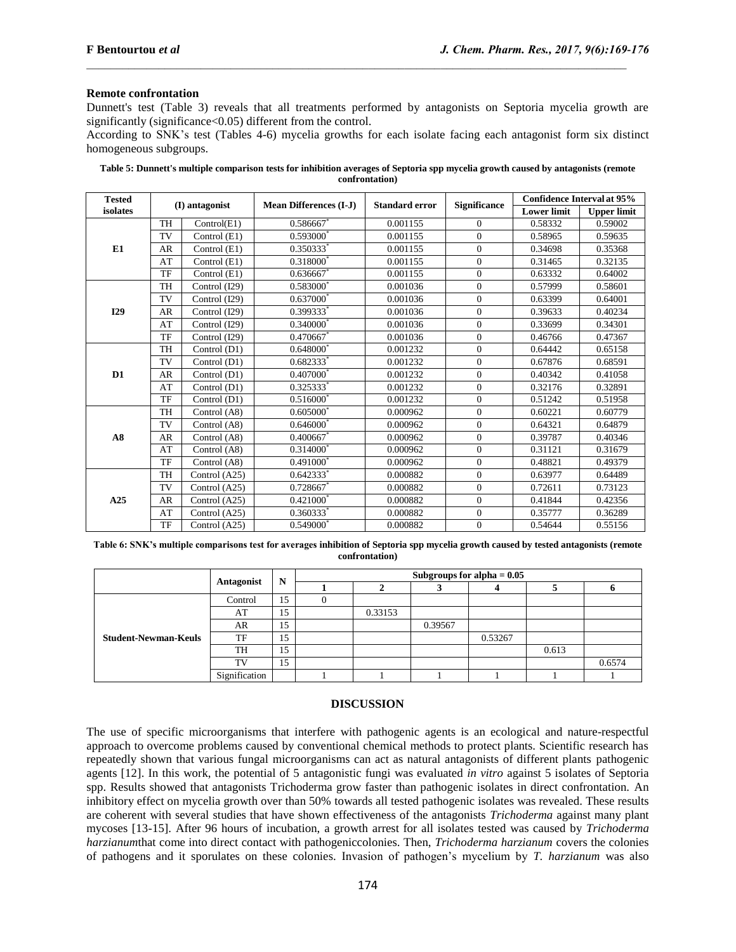## **Remote confrontation**

Dunnett's test (Table 3) reveals that all treatments performed by antagonists on Septoria mycelia growth are significantly (significance < 0.05) different from the control.

According to SNK's test (Tables 4-6) mycelia growths for each isolate facing each antagonist form six distinct homogeneous subgroups.

| Table 5: Dunnett's multiple comparison tests for inhibition averages of Septoria spp mycelia growth caused by antagonists (remote |
|-----------------------------------------------------------------------------------------------------------------------------------|
| confrontation)                                                                                                                    |

| <b>Tested</b>  | (I) antagonist |                | <b>Mean Differences (I-J)</b> | <b>Standard error</b> | <b>Significance</b> | <b>Confidence Interval at 95%</b> |                    |
|----------------|----------------|----------------|-------------------------------|-----------------------|---------------------|-----------------------------------|--------------------|
| isolates       |                |                |                               |                       |                     | <b>Lower limit</b>                | <b>Upper limit</b> |
|                | <b>TH</b>      | Control(E1)    | 0.586667                      | 0.001155              | $\Omega$            | 0.58332                           | 0.59002            |
| E1             | TV             | Control (E1)   | $0.593000^*$                  | 0.001155              | $\overline{0}$      | 0.58965                           | 0.59635            |
|                | AR             | Control (E1)   | $0.350333*$                   | 0.001155              | $\overline{0}$      | 0.34698                           | 0.35368            |
|                | AT             | Control (E1)   | $0.318000^*$                  | 0.001155              | $\overline{0}$      | 0.31465                           | 0.32135            |
|                | TF             | Control (E1)   | $0.636667$ *                  | 0.001155              | $\overline{0}$      | 0.63332                           | 0.64002            |
|                | <b>TH</b>      | Control (I29)  | 0.583000*                     | 0.001036              | $\Omega$            | 0.57999                           | 0.58601            |
|                | TV             | Control (I29)  | $0.637000*$                   | 0.001036              | $\Omega$            | 0.63399                           | 0.64001            |
| <b>I29</b>     | AR             | Control (I29)  | 0.399333*                     | 0.001036              | $\overline{0}$      | 0.39633                           | 0.40234            |
|                | AT             | Control (I29)  | $0.340000$ <sup>*</sup>       | 0.001036              | $\Omega$            | 0.33699                           | 0.34301            |
|                | TF             | Control (I29)  | 0.470667*                     | 0.001036              | $\overline{0}$      | 0.46766                           | 0.47367            |
|                | <b>TH</b>      | Control (D1)   | $0.648000*$                   | 0.001232              | $\theta$            | 0.64442                           | 0.65158            |
|                | TV             | Control (D1)   | $0.682333*$                   | 0.001232              | $\overline{0}$      | 0.67876                           | 0.68591            |
| D <sub>1</sub> | AR             | Control (D1)   | $0.407000*$                   | 0.001232              | $\Omega$            | 0.40342                           | 0.41058            |
|                | AT             | Control (D1)   | $0.325333*$                   | 0.001232              | $\overline{0}$      | 0.32176                           | 0.32891            |
|                | TF             | Control (D1)   | $0.516000*$                   | 0.001232              | $\Omega$            | 0.51242                           | 0.51958            |
|                | <b>TH</b>      | Control (A8)   | $0.605000^*$                  | 0.000962              | $\overline{0}$      | 0.60221                           | 0.60779            |
|                | TV             | Control (A8)   | $0.646000^*$                  | 0.000962              | $\overline{0}$      | 0.64321                           | 0.64879            |
| A8             | AR             | Control $(A8)$ | $0.400667$ *                  | 0.000962              | $\overline{0}$      | 0.39787                           | 0.40346            |
|                | AT             | Control (A8)   | $0.314000^*$                  | 0.000962              | $\overline{0}$      | 0.31121                           | 0.31679            |
|                | TF             | Control (A8)   | $0.491000^*$                  | 0.000962              | $\overline{0}$      | 0.48821                           | 0.49379            |
|                | <b>TH</b>      | Control (A25)  | $0.642333*$                   | 0.000882              | $\overline{0}$      | 0.63977                           | 0.64489            |
|                | TV             | Control (A25)  | 0.728667                      | 0.000882              | $\overline{0}$      | 0.72611                           | 0.73123            |
| A25            | AR             | Control (A25)  | $0.421000^*$                  | 0.000882              | $\Omega$            | 0.41844                           | 0.42356            |
|                | AT             | Control (A25)  | $0.360333$ <sup>*</sup>       | 0.000882              | $\overline{0}$      | 0.35777                           | 0.36289            |
|                | TF             | Control (A25)  | 0.549000                      | 0.000882              | $\overline{0}$      | 0.54644                           | 0.55156            |

**Table 6: SNK's multiple comparisons test for averages inhibition of Septoria spp mycelia growth caused by tested antagonists (remote confrontation)**

|                             | Antagonist    | N  | Subgroups for alpha $= 0.05$ |         |         |         |       |        |
|-----------------------------|---------------|----|------------------------------|---------|---------|---------|-------|--------|
|                             |               |    |                              |         |         |         |       |        |
| <b>Student-Newman-Keuls</b> | Control       | 15 |                              |         |         |         |       |        |
|                             | AT            | 15 |                              | 0.33153 |         |         |       |        |
|                             | AR            | 15 |                              |         | 0.39567 |         |       |        |
|                             | TF            | 15 |                              |         |         | 0.53267 |       |        |
|                             | TH            | 15 |                              |         |         |         | 0.613 |        |
|                             | TV            | 15 |                              |         |         |         |       | 0.6574 |
|                             | Signification |    |                              |         |         |         |       |        |

#### **DISCUSSION**

The use of specific microorganisms that interfere with pathogenic agents is an ecological and nature-respectful approach to overcome problems caused by conventional chemical methods to protect plants. Scientific research has repeatedly shown that various fungal microorganisms can act as natural antagonists of different plants pathogenic agents [12]. In this work, the potential of 5 antagonistic fungi was evaluated *in vitro* against 5 isolates of Septoria spp. Results showed that antagonists Trichoderma grow faster than pathogenic isolates in direct confrontation. An inhibitory effect on mycelia growth over than 50% towards all tested pathogenic isolates was revealed. These results are coherent with several studies that have shown effectiveness of the antagonists *Trichoderma* against many plant mycoses [13-15]. After 96 hours of incubation, a growth arrest for all isolates tested was caused by *Trichoderma harzianum*that come into direct contact with pathogeniccolonies. Then, *Trichoderma harzianum* covers the colonies of pathogens and it sporulates on these colonies. Invasion of pathogen's mycelium by *T. harzianum* was also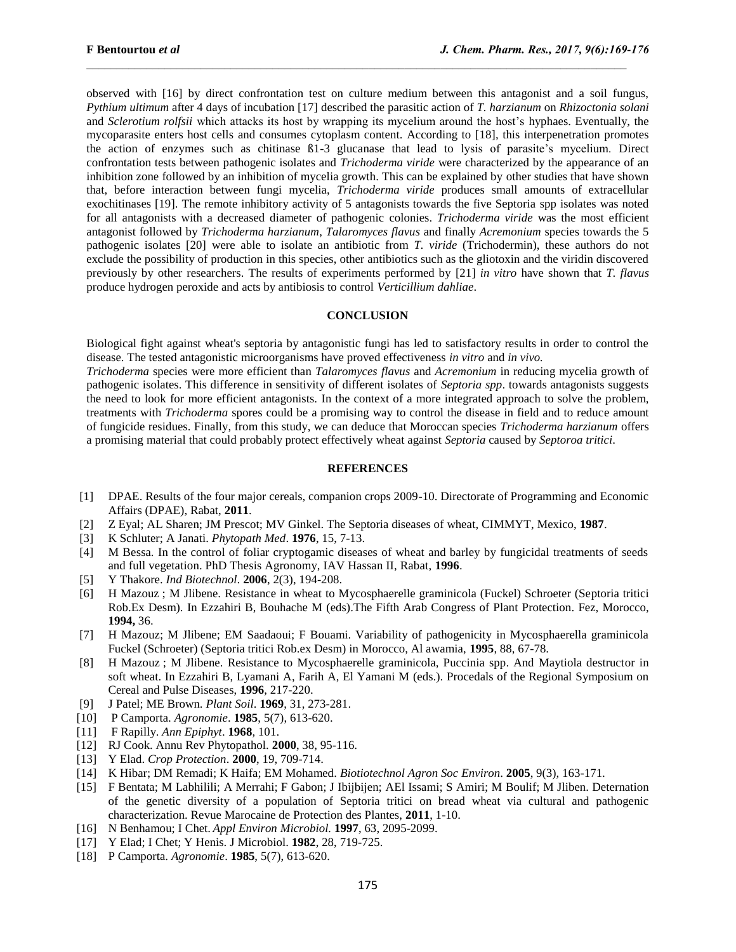observed with [16] by direct confrontation test on culture medium between this antagonist and a soil fungus, *Pythium ultimum* after 4 days of incubation [17] described the parasitic action of *T. harzianum* on *Rhizoctonia solani* and *Sclerotium rolfsii* which attacks its host by wrapping its mycelium around the host's hyphaes. Eventually, the mycoparasite enters host cells and consumes cytoplasm content. According to [18], this interpenetration promotes the action of enzymes such as chitinase ß1-3 glucanase that lead to lysis of parasite's mycelium. Direct confrontation tests between pathogenic isolates and *Trichoderma viride* were characterized by the appearance of an inhibition zone followed by an inhibition of mycelia growth. This can be explained by other studies that have shown that, before interaction between fungi mycelia, *Trichoderma viride* produces small amounts of extracellular exochitinases [19]. The remote inhibitory activity of 5 antagonists towards the five Septoria spp isolates was noted for all antagonists with a decreased diameter of pathogenic colonies. *Trichoderma viride* was the most efficient antagonist followed by *Trichoderma harzianum*, *Talaromyces flavus* and finally *Acremonium* species towards the 5 pathogenic isolates [20] were able to isolate an antibiotic from *T. viride* (Trichodermin), these authors do not exclude the possibility of production in this species, other antibiotics such as the gliotoxin and the viridin discovered previously by other researchers. The results of experiments performed by [21] *in vitro* have shown that *T. flavus* produce hydrogen peroxide and acts by antibiosis to control *Verticillium dahliae*.

#### **CONCLUSION**

Biological fight against wheat's septoria by antagonistic fungi has led to satisfactory results in order to control the disease. The tested antagonistic microorganisms have proved effectiveness *in vitro* and *in vivo.*

*Trichoderma* species were more efficient than *Talaromyces flavus* and *Acremonium* in reducing mycelia growth of pathogenic isolates. This difference in sensitivity of different isolates of *Septoria spp*. towards antagonists suggests the need to look for more efficient antagonists. In the context of a more integrated approach to solve the problem, treatments with *Trichoderma* spores could be a promising way to control the disease in field and to reduce amount of fungicide residues. Finally, from this study, we can deduce that Moroccan species *Trichoderma harzianum* offers a promising material that could probably protect effectively wheat against *Septoria* caused by *Septoroa tritici*.

#### **REFERENCES**

- [1] DPAE. Results of the four major cereals, companion crops 2009-10. Directorate of Programming and Economic Affairs (DPAE), Rabat, **2011**.
- [2] Z Eyal; AL Sharen; JM Prescot; MV Ginkel. The Septoria diseases of wheat, CIMMYT, Mexico, **1987**.
- [3] K Schluter; A Janati. *Phytopath Med*. **1976**, 15, 7-13.
- [4] M Bessa. In the control of foliar cryptogamic diseases of wheat and barley by fungicidal treatments of seeds and full vegetation. PhD Thesis Agronomy, IAV Hassan II, Rabat, **1996**.
- [5] Y Thakore. *Ind Biotechnol*. **2006**, 2(3), 194-208.
- [6] H Mazouz ; M Jlibene. Resistance in wheat to Mycosphaerelle graminicola (Fuckel) Schroeter (Septoria tritici Rob.Ex Desm). In Ezzahiri B, Bouhache M (eds).The Fifth Arab Congress of Plant Protection. Fez, Morocco, **1994,** 36.
- [7] H Mazouz; M Jlibene; EM Saadaoui; F Bouami. Variability of pathogenicity in Mycosphaerella graminicola Fuckel (Schroeter) (Septoria tritici Rob.ex Desm) in Morocco, Al awamia, **1995**, 88, 67-78.
- [8] H Mazouz ; M Jlibene. Resistance to Mycosphaerelle graminicola, Puccinia spp. And Maytiola destructor in soft wheat. In Ezzahiri B, Lyamani A, Farih A, El Yamani M (eds.). Procedals of the Regional Symposium on Cereal and Pulse Diseases, **1996**, 217-220.
- [9] J Patel; ME Brown. *Plant Soil*. **1969**, 31, 273-281.
- [10] P Camporta. *Agronomie*. **1985**, 5(7), 613-620.
- [11] F Rapilly. *Ann Epiphyt*. **1968**, 101.
- [12] RJ Cook. Annu Rev Phytopathol. **2000**, 38, 95-116.
- [13] Y Elad. *Crop Protection*. **2000**, 19, 709-714.
- [14] K Hibar; DM Remadi; K Haifa; EM Mohamed. *Biotiotechnol Agron Soc Environ*. **2005**, 9(3), 163-171.
- [15] F Bentata; M Labhilili; A Merrahi; F Gabon; J Ibijbijen; AEl Issami; S Amiri; M Boulif; M Jliben. Deternation of the genetic diversity of a population of Septoria tritici on bread wheat via cultural and pathogenic characterization. Revue Marocaine de Protection des Plantes, **2011**, 1-10.
- [16] N Benhamou; I Chet. *Appl Environ Microbiol.* **1997**, 63, 2095-2099.
- [17] Y Elad; I Chet; Y Henis. J Microbiol. **1982**, 28, 719-725.
- [18] P Camporta. *Agronomie*. **1985**, 5(7), 613-620.